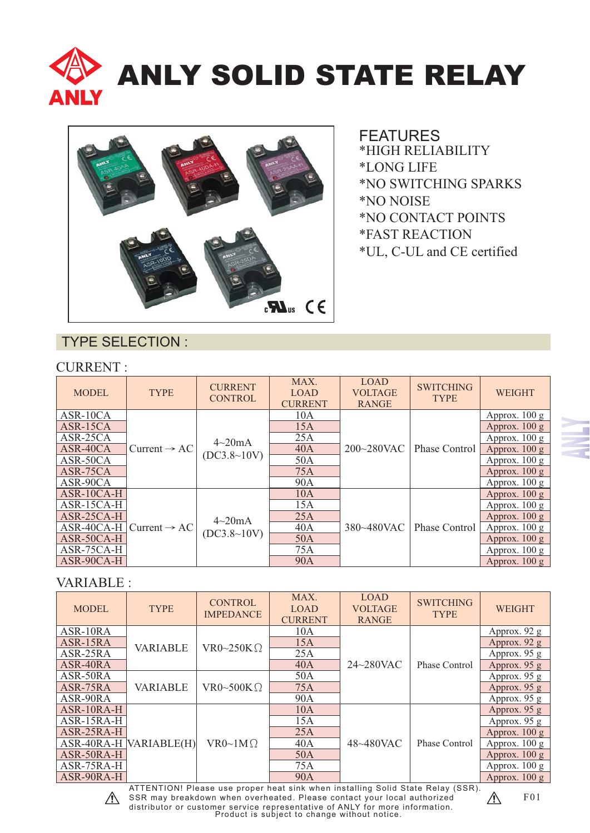



\*FAST REACTION \*UL, C-UL and CE certified \*NO CONTACT POINTS \*NO NOISE \*NO SWITCHING SPARKS \*LONG LIFE \*HIGH RELIABILITY FEATURES

#### TYPE SELECTION :

#### CURRENT :

| <b>MODEL</b> | <b>TYPE</b>              | <b>CURRENT</b><br><b>CONTROL</b> | MAX.<br><b>LOAD</b><br><b>CURRENT</b> | <b>LOAD</b><br><b>VOLTAGE</b><br><b>RANGE</b> | <b>SWITCHING</b><br><b>TYPE</b> | <b>WEIGHT</b>           |
|--------------|--------------------------|----------------------------------|---------------------------------------|-----------------------------------------------|---------------------------------|-------------------------|
| ASR-10CA     |                          | $4\sim20mA$<br>(DC3.8~10V)       | 10A                                   | 200~280VAC                                    | Phase Control                   | Approx. $100 \text{ g}$ |
| $ASR-15CA$   |                          |                                  | 15A                                   |                                               |                                 | Approx. $100 g$         |
| ASR-25CA     |                          |                                  | 25A                                   |                                               |                                 | Approx. $100 \text{ g}$ |
| ASR-40CA     | Current $\rightarrow$ AC |                                  | 40A                                   |                                               |                                 | Approx. $100 g$         |
| ASR-50CA     |                          |                                  | 50A                                   |                                               |                                 | Approx. $100 g$         |
| ASR-75CA     |                          |                                  | <b>75A</b>                            |                                               |                                 | Approx. $100 g$         |
| ASR-90CA     |                          |                                  | 90A                                   |                                               |                                 | Approx. $100 \text{ g}$ |
| $ASR-10CA-H$ |                          |                                  | 10A                                   |                                               |                                 | Approx. $100 g$         |
| ASR-15CA-H   |                          |                                  | 15A                                   |                                               |                                 | Approx. $100 \text{ g}$ |
| $ASR-25CA-H$ |                          | $4\sim20mA$                      | 25A                                   |                                               |                                 | Approx. $100 g$         |
| ASR-40CA-H   | Current $\rightarrow$ AC | (DC3.8~10V)                      | 40A                                   | 380~480VAC                                    | Phase Control                   | Approx. $100 g$         |
| ASR-50CA-H   |                          |                                  | 50A                                   |                                               |                                 | Approx. $100 g$         |
| ASR-75CA-H   |                          |                                  | 75A                                   |                                               |                                 | Approx. $100 \text{ g}$ |
| ASR-90CA-H   |                          |                                  | <b>90A</b>                            |                                               |                                 | Approx. $100 g$         |

#### VARIABLE :

| <b>MODEL</b> | <b>TYPE</b>     | <b>CONTROL</b><br><b>IMPEDANCE</b>                                             | MAX.<br><b>LOAD</b><br><b>CURRENT</b> | <b>LOAD</b><br><b>VOLTAGE</b><br><b>RANGE</b> | <b>SWITCHING</b><br><b>TYPE</b> | <b>WEIGHT</b>           |
|--------------|-----------------|--------------------------------------------------------------------------------|---------------------------------------|-----------------------------------------------|---------------------------------|-------------------------|
| ASR-10RA     |                 |                                                                                | 10A                                   |                                               |                                 | Approx. 92 g            |
| ASR-15RA     | <b>VARIABLE</b> | VR0~250K $\Omega$                                                              | 15A                                   |                                               |                                 | Approx. $92 g$          |
| ASR-25RA     |                 |                                                                                | 25A                                   |                                               | Phase Control                   | Approx. 95 g            |
| ASR-40RA     |                 |                                                                                | 40A                                   | $24 \sim 280$ VAC                             |                                 | Approx. 95 g            |
| ASR-50RA     |                 |                                                                                | 50A                                   |                                               |                                 | Approx. 95 g            |
| ASR-75RA     | <b>VARIABLE</b> | VR0~500K $\Omega$                                                              | <b>75A</b>                            |                                               |                                 | Approx. 95 g            |
| ASR-90RA     |                 |                                                                                | 90A                                   |                                               |                                 | Approx. 95 g            |
| ASR-10RA-H   |                 |                                                                                | 10A                                   |                                               | Phase Control                   | Approx. 95 g            |
| ASR-15RA-H   |                 |                                                                                | 15A                                   |                                               |                                 | Approx. $95 g$          |
| ASR-25RA-H   |                 |                                                                                | 25A                                   |                                               |                                 | Approx. $100 g$         |
| ASR-40RA-H   | VARIABLE(H)     | $VR0~1M\Omega$                                                                 | 40A                                   | 48~480VAC                                     |                                 | Approx. $100 \text{ g}$ |
| ASR-50RA-H   |                 |                                                                                | 50A                                   |                                               |                                 | Approx. $100 g$         |
| ASR-75RA-H   |                 |                                                                                | 75A                                   |                                               |                                 | Approx. $100 \text{ g}$ |
| ASR-90RA-H   |                 |                                                                                | 90A                                   |                                               |                                 | Approx. $100 g$         |
|              |                 | ATTENTIONI Please use proper heat sink when installing Solid State Relay (SSR) |                                       |                                               |                                 |                         |



Product is subject to change without notice. ATTENTION! Please use proper heat sink when installing Solid State Relay (SSR). SSR may breakdown when overheated. Please contact your local authorized distributor or customer service representative of ANLY for more information.

F01  $\mathcal{N}$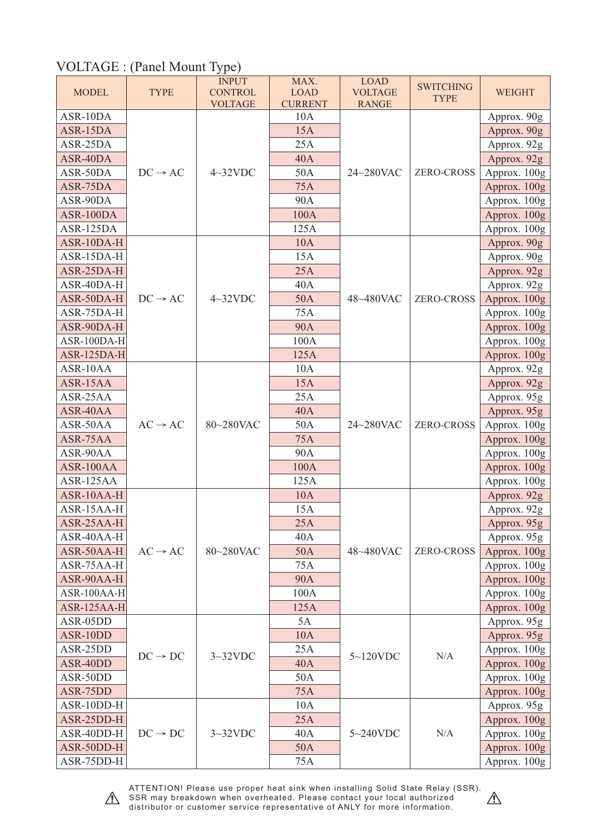## VOLTAGE : (Panel Mount Type)

| <b>MODEL</b>             | <b>TYPE</b>         | <b>INPUT</b><br><b>CONTROL</b><br><b>VOLTAGE</b> | MAX.<br><b>LOAD</b><br><b>CURRENT</b> | <b>LOAD</b><br><b>VOLTAGE</b><br><b>RANGE</b> | <b>SWITCHING</b><br><b>TYPE</b> | <b>WEIGHT</b>                |
|--------------------------|---------------------|--------------------------------------------------|---------------------------------------|-----------------------------------------------|---------------------------------|------------------------------|
| ASR-10DA                 |                     |                                                  | 10A                                   |                                               |                                 | Approx. 90g                  |
| ASR-15DA                 |                     |                                                  | 15A                                   |                                               |                                 | Approx. 90g                  |
| ASR-25DA                 |                     | $4\sim32$ VDC                                    | 25A                                   | 24~280VAC                                     |                                 | Approx. 92g                  |
| ASR-40DA                 |                     |                                                  | <b>40A</b>                            |                                               |                                 | Approx. 92g                  |
| ASR-50DA                 | $DC \rightarrow AC$ |                                                  | 50A                                   |                                               | <b>ZERO-CROSS</b>               | Approx. 100g                 |
| ASR-75DA                 |                     |                                                  | 75A                                   |                                               |                                 | Approx. 100g                 |
| ASR-90DA                 |                     |                                                  | 90A                                   |                                               |                                 | Approx. 100g                 |
| ASR-100DA                |                     |                                                  | 100A                                  |                                               |                                 | Approx. 100g                 |
| ASR-125DA                |                     |                                                  | 125A                                  |                                               |                                 | Approx. 100g                 |
| ASR-10DA-H               |                     |                                                  | <b>10A</b>                            |                                               |                                 | Approx. 90g                  |
| ASR-15DA-H               |                     |                                                  | 15A                                   |                                               |                                 | Approx. 90g                  |
| ASR-25DA-H               |                     |                                                  | 25A                                   |                                               |                                 | Approx. 92g                  |
| ASR-40DA-H               |                     |                                                  | 40A                                   |                                               |                                 | Approx. 92g                  |
| ASR-50DA-H               | $DC \rightarrow AC$ | $4\sim32$ VDC                                    | 50A                                   | 48~480VAC                                     | <b>ZERO-CROSS</b>               | Approx. 100g                 |
| ASR-75DA-H               |                     |                                                  | 75A                                   |                                               |                                 | Approx. 100g                 |
| ASR-90DA-H               |                     |                                                  | <b>90A</b>                            |                                               |                                 | Approx. 100g                 |
| ASR-100DA-H              |                     |                                                  | 100A                                  |                                               |                                 | Approx. 100g                 |
| ASR-125DA-H              |                     |                                                  | 125A                                  |                                               |                                 | Approx. 100g                 |
| ASR-10AA                 |                     |                                                  | 10A                                   |                                               |                                 | Approx. 92g                  |
| ASR-15AA                 | $AC \rightarrow AC$ |                                                  | 15A                                   |                                               | <b>ZERO-CROSS</b>               | Approx. 92g                  |
| ASR-25AA                 |                     | 80~280VAC                                        | 25A                                   | 24~280VAC                                     |                                 | Approx. 95g                  |
| ASR-40AA                 |                     |                                                  | <b>40A</b>                            |                                               |                                 | Approx. 95g                  |
| ASR-50AA                 |                     |                                                  | 50A                                   |                                               |                                 | Approx. 100g                 |
| ASR-75AA                 |                     |                                                  | 75A                                   |                                               |                                 | Approx. 100g                 |
| ASR-90AA                 |                     |                                                  | 90A                                   |                                               |                                 | Approx. 100g                 |
| ASR-100AA                |                     |                                                  | 100A                                  |                                               |                                 | Approx. 100g                 |
| ASR-125AA                |                     |                                                  | 125A                                  |                                               |                                 | Approx. 100g                 |
| ASR-10AA-H               |                     |                                                  | 10A                                   |                                               | <b>ZERO-CROSS</b>               | Approx. 92g                  |
| ASR-15AA-H               |                     | 80~280VAC                                        | 15A                                   |                                               |                                 | Approx. 92g                  |
| ASR-25AA-H               |                     |                                                  | 25A                                   | 48~480VAC                                     |                                 | Approx. 95g                  |
| ASR-40AA-H               |                     |                                                  | 40A                                   |                                               |                                 | Approx. 95g                  |
| ASR-50AA-H               | $AC \rightarrow AC$ |                                                  | 50A                                   |                                               |                                 | Approx. 100g                 |
| ASR-75AA-H               |                     |                                                  | 75A                                   |                                               |                                 | Approx. 100g                 |
| ASR-90AA-H               |                     |                                                  | <b>90A</b>                            |                                               |                                 | Approx. 100g                 |
| ASR-100AA-H              |                     |                                                  | 100A                                  |                                               |                                 | Approx. 100g                 |
| ASR-125AA-H              |                     |                                                  | 125A                                  |                                               |                                 | Approx. 100g                 |
| ASR-05DD                 |                     |                                                  | 5A                                    |                                               |                                 | Approx. 95g                  |
| ASR-10DD                 |                     |                                                  | 10A                                   |                                               |                                 | Approx. 95g                  |
| ASR-25DD                 | $DC \rightarrow DC$ | $3 \sim 32$ VDC                                  | 25A                                   | $5 \sim 120$ VDC                              | $\rm N/A$                       | Approx. 100g                 |
| ASR-40DD                 |                     |                                                  | 40A                                   |                                               |                                 | Approx. 100g                 |
| ASR-50DD                 |                     |                                                  | 50A                                   |                                               |                                 | Approx. 100g                 |
| ASR-75DD                 |                     |                                                  | 75A                                   |                                               |                                 | Approx. 100g                 |
| ASR-10DD-H               |                     |                                                  | 10A<br>25A                            |                                               |                                 | Approx. 95g                  |
| ASR-25DD-H<br>ASR-40DD-H | $DC \rightarrow DC$ |                                                  | 40A                                   |                                               | N/A                             | Approx. 100g                 |
| ASR-50DD-H               |                     | $3 \sim 32 VDC$                                  | 50A                                   | $5 \sim 240$ VDC                              |                                 | Approx. 100g<br>Approx. 100g |
| ASR-75DD-H               |                     |                                                  | 75A                                   |                                               |                                 | Approx. 100g                 |
|                          |                     |                                                  |                                       |                                               |                                 |                              |



ATTENTION! Please use proper heat sink when installing Solid State Relay (SSR). SSR may breakdown when overheated. Please contact your local authorized distributor or customer service representative of ANLY for more information.

 $\triangle$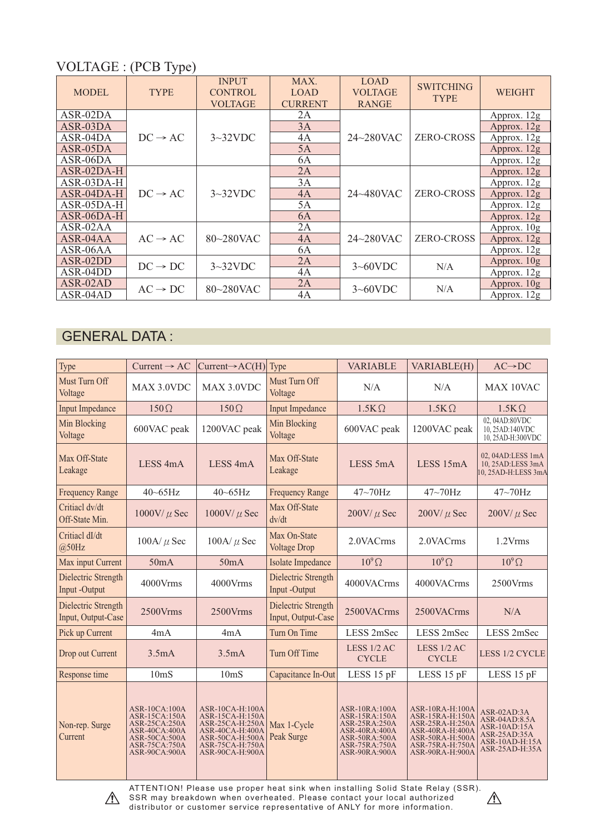## VOLTAGE : (PCB Type)

| <b>MODEL</b> | <b>TYPE</b>         | <b>INPUT</b><br><b>CONTROL</b><br><b>VOLTAGE</b> | MAX.<br><b>LOAD</b><br><b>CURRENT</b> | <b>LOAD</b><br><b>VOLTAGE</b><br><b>RANGE</b> | <b>SWITCHING</b><br><b>TYPE</b> | <b>WEIGHT</b> |
|--------------|---------------------|--------------------------------------------------|---------------------------------------|-----------------------------------------------|---------------------------------|---------------|
| ASR-02DA     |                     | $3\sim32$ VDC                                    | 2A                                    |                                               | <b>ZERO-CROSS</b>               | Approx. 12g   |
| $ASR-03DA$   |                     |                                                  | 3A                                    |                                               |                                 | Approx. $12g$ |
| $ASR-04DA$   | $DC \rightarrow AC$ |                                                  | 4A                                    | $24 \sim 280$ VAC                             |                                 | Approx. 12g   |
| $ASR-05DA$   |                     |                                                  | 5A                                    |                                               |                                 | Approx. $12g$ |
| ASR-06DA     |                     |                                                  | 6A                                    |                                               |                                 | Approx. 12g   |
| $ASR-02DA-H$ | $DC \rightarrow AC$ | $3\sim32$ VDC                                    | 2A                                    | $24 \sim 480$ VAC                             | <b>ZERO-CROSS</b>               | Approx. 12g   |
| $ASR-03DA-H$ |                     |                                                  | 3A                                    |                                               |                                 | Approx. 12g   |
| $ASR-04DA-H$ |                     |                                                  | 4A                                    |                                               |                                 | Approx. 12g   |
| ASR-05DA-H   |                     |                                                  | 5A                                    |                                               |                                 | Approx. 12g   |
| ASR-06DA-H   |                     |                                                  | 6A                                    |                                               |                                 | Approx. $12g$ |
| $ASR-02AA$   |                     | 80~280VAC                                        | 2A                                    | $24 \sim 280$ VAC                             | <b>ZERO-CROSS</b>               | Approx. 10g   |
| $ASR-04AA$   | $AC \rightarrow AC$ |                                                  | 4A                                    |                                               |                                 | Approx. $12g$ |
| $ASR-06AA$   |                     |                                                  | 6A                                    |                                               |                                 | Approx. 12g   |
| $ASR-02DD$   | $DC \rightarrow DC$ | $3\sim32$ VDC                                    | 2A                                    | $3 \sim 60$ VDC                               | N/A                             | Approx. 10g   |
| $ASR-04DD$   |                     |                                                  | 4A                                    |                                               |                                 | Approx. 12g   |
| ASR-02AD     | $AC \rightarrow DC$ | 80~280VAC                                        | 2A                                    | $3 \sim 60$ VDC                               | N/A                             | Approx. 10g   |
| ASR-04AD     |                     |                                                  | 4A                                    |                                               |                                 | Approx. 12g   |

### GENERAL DATA :

| Type                                      | $Current \rightarrow AC$                                                                                                          | $Current \rightarrow AC(H)$                                                                                                       | Type                                      | <b>VARIABLE</b>                                                                                                            | VARIABLE(H)                                                                                                                       | $AC \rightarrow DC$                                                                                |
|-------------------------------------------|-----------------------------------------------------------------------------------------------------------------------------------|-----------------------------------------------------------------------------------------------------------------------------------|-------------------------------------------|----------------------------------------------------------------------------------------------------------------------------|-----------------------------------------------------------------------------------------------------------------------------------|----------------------------------------------------------------------------------------------------|
| Must Turn Off<br>Voltage                  | MAX 3.0VDC                                                                                                                        | MAX 3.0VDC                                                                                                                        | Must Turn Off<br>Voltage                  | N/A                                                                                                                        | N/A                                                                                                                               | MAX 10VAC                                                                                          |
| <b>Input Impedance</b>                    | $150\Omega$                                                                                                                       | $150\Omega$                                                                                                                       | <b>Input Impedance</b>                    | $1.5K\Omega$                                                                                                               | $1.5K\Omega$                                                                                                                      | $1.5K\Omega$                                                                                       |
| <b>Min Blocking</b><br>Voltage            | 600VAC peak                                                                                                                       | 1200VAC peak                                                                                                                      | <b>Min Blocking</b><br>Voltage            | 600VAC peak                                                                                                                | 1200VAC peak                                                                                                                      | 02, 04AD:80VDC<br>10, 25AD:140VDC<br>10, 25AD-H:300VDC                                             |
| Max Off-State<br>Leakage                  | LESS <sub>4mA</sub>                                                                                                               | LESS <sub>4mA</sub>                                                                                                               | Max Off-State<br>Leakage                  | LESS 5mA                                                                                                                   | LESS 15mA                                                                                                                         | 02, 04AD:LESS 1mA<br>10, 25AD:LESS 3mA<br>10, 25AD-H:LESS 3mA                                      |
| <b>Frequency Range</b>                    | 40~65Hz                                                                                                                           | $40 \sim 65$ Hz                                                                                                                   | <b>Frequency Range</b>                    | 47~70Hz                                                                                                                    | 47~70Hz                                                                                                                           | $47\text{-}70\text{Hz}$                                                                            |
| Critiacl dv/dt<br>Off-State Min.          | $1000$ V/ $\mu$ Sec                                                                                                               | $1000$ V/ $\mu$ Sec                                                                                                               | Max Off-State<br>dv/dt                    | $200$ V/ $\mu$ Sec                                                                                                         | $200$ V/ $\mu$ Sec                                                                                                                | $200$ V/ $\mu$ Sec                                                                                 |
| Critiacl dI/dt<br>@50Hz                   | 100A/ $\mu$ Sec                                                                                                                   | 100A/ $\mu$ Sec                                                                                                                   | Max On-State<br><b>Voltage Drop</b>       | 2.0VACrms                                                                                                                  | 2.0VACrms                                                                                                                         | 1.2Vrms                                                                                            |
| Max input Current                         | 50mA                                                                                                                              | 50mA                                                                                                                              | Isolate Impedance                         | $10^9 \Omega$                                                                                                              | $10^9 \Omega$                                                                                                                     | $10^9 \Omega$                                                                                      |
| Dielectric Strength<br>Input -Output      | 4000Vrms                                                                                                                          | 4000Vrms                                                                                                                          | Dielectric Strength<br>Input -Output      | 4000VACrms                                                                                                                 | 4000VACrms                                                                                                                        | 2500Vrms                                                                                           |
| Dielectric Strength<br>Input, Output-Case | 2500Vrms                                                                                                                          | $2500V$ rms                                                                                                                       | Dielectric Strength<br>Input, Output-Case | 2500VACrms                                                                                                                 | 2500VACrms                                                                                                                        | N/A                                                                                                |
| Pick up Current                           | 4mA                                                                                                                               | 4mA                                                                                                                               | Turn On Time                              | LESS 2mSec                                                                                                                 | LESS 2mSec                                                                                                                        | LESS 2mSec                                                                                         |
| Drop out Current                          | 3.5mA                                                                                                                             | 3.5mA                                                                                                                             | Turn Off Time                             | LESS 1/2 AC<br><b>CYCLE</b>                                                                                                | LESS 1/2 AC<br><b>CYCLE</b>                                                                                                       | LESS 1/2 CYCLE                                                                                     |
| Response time                             | 10 <sub>ms</sub>                                                                                                                  | 10 <sub>ms</sub>                                                                                                                  | Capacitance In-Out                        | LESS 15 pF                                                                                                                 | LESS 15 pF                                                                                                                        | LESS 15 pF                                                                                         |
| Non-rep. Surge<br>Current                 | ASR-10CA:100A<br>ASR-15CA:150A<br>ASR-25CA:250A<br><b>ASR-40CA:400A</b><br>ASR-50CA:500A<br>ASR-75CA:750A<br><b>ASR-90CA:900A</b> | ASR-10CA-H:100A<br>ASR-15CA-H:150A<br>ASR-25CA-H:250A<br>ASR-40CA-H:400A<br>ASR-50CA-H:500A<br>ASR-75CA-H:750A<br>ASR-90CA-H:900A | Max 1-Cycle<br>Peak Surge                 | ASR-10RA:100A<br>ASR-15RA:150A<br>ASR-25RA:250A<br><b>ASR-40RA:400A</b><br>ASR-50RA:500A<br>ASR-75RA:750A<br>ASR-90RA:900A | ASR-10RA-H:100A<br>ASR-15RA-H:150A<br>ASR-25RA-H:250A<br>ASR-40RA-H:400A<br>ASR-50RA-H:500A<br>ASR-75RA-H:750A<br>ASR-90RA-H:900A | ASR-02AD:3A<br>$ASR-04AD:8.5A$<br>ASR-10AD:15A<br>ASR-25AD:35A<br>ASR-10AD-H:15A<br>ASR-25AD-H:35A |



ATTENTION! Please use proper heat sink when installing Solid State Relay (SSR). SSR may breakdown when overheated. Please contact your local authorized distributor or customer service representative of ANLY for more information.

 $\mathbb{A}$